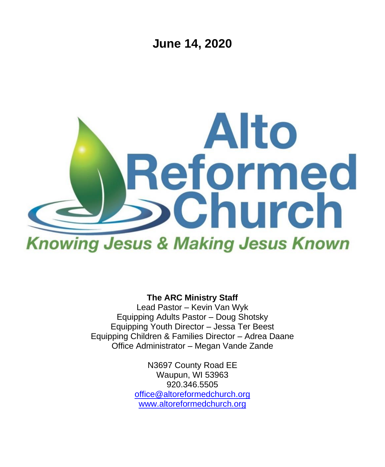**June 14, 2020**



**The ARC Ministry Staff**

Lead Pastor – Kevin Van Wyk Equipping Adults Pastor – Doug Shotsky Equipping Youth Director – Jessa Ter Beest Equipping Children & Families Director – Adrea Daane Office Administrator – Megan Vande Zande

> N3697 County Road EE Waupun, WI 53963 920.346.5505 [office@altoreformedchurch.org](mailto:office@altoreformedchurch.org) [www.altoreformedchurch.org](http://www.altoreformedchurch.org/)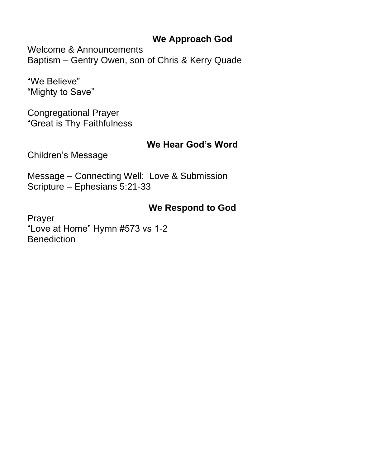#### **We Approach God**

Welcome & Announcements Baptism – Gentry Owen, son of Chris & Kerry Quade

"We Believe" "Mighty to Save"

Congregational Prayer "Great is Thy Faithfulness

#### **We Hear God's Word**

Children's Message

Message – Connecting Well: Love & Submission Scripture – Ephesians 5:21-33

### **We Respond to God**

Prayer "Love at Home" Hymn #573 vs 1-2 **Benediction**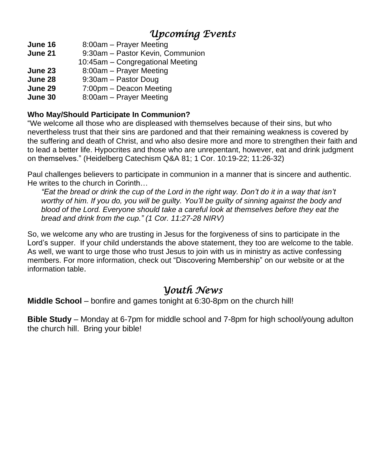# *Upcoming Events*

- **June 16** 8:00am Prayer Meeting
- **June 21** 9:30am Pastor Kevin, Communion
- 10:45am Congregational Meeting
- **June 23** 8:00am Prayer Meeting
- **June 28** 9:30am Pastor Doug
- **June 29** 7:00pm Deacon Meeting
- **June 30** 8:00am Prayer Meeting

#### **Who May/Should Participate In Communion?**

"We welcome all those who are displeased with themselves because of their sins, but who nevertheless trust that their sins are pardoned and that their remaining weakness is covered by the suffering and death of Christ, and who also desire more and more to strengthen their faith and to lead a better life. Hypocrites and those who are unrepentant, however, eat and drink judgment on themselves." (Heidelberg Catechism Q&A 81; 1 Cor. 10:19-22; 11:26-32)

Paul challenges believers to participate in communion in a manner that is sincere and authentic. He writes to the church in Corinth…

"Eat the bread or drink the cup of the Lord in the right way. Don't do it in a way that isn't worthy of him. If you do, you will be quilty. You'll be quilty of sinning against the body and *blood of the Lord. Everyone should take a careful look at themselves before they eat the bread and drink from the cup." (1 Cor. 11:27-28 NIRV)*

So, we welcome any who are trusting in Jesus for the forgiveness of sins to participate in the Lord's supper. If your child understands the above statement, they too are welcome to the table. As well, we want to urge those who trust Jesus to join with us in ministry as active confessing members. For more information, check out "Discovering Membership" on our website or at the information table.

## *Youth News*

**Middle School** – bonfire and games tonight at 6:30-8pm on the church hill!

**Bible Study** – Monday at 6-7pm for middle school and 7-8pm for high school/young adulton the church hill. Bring your bible!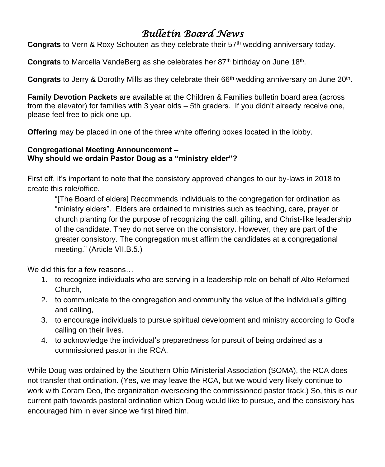## *Bulletin Board News*

**Congrats** to Vern & Roxy Schouten as they celebrate their 57<sup>th</sup> wedding anniversary today.

Congrats to Marcella VandeBerg as she celebrates her 87<sup>th</sup> birthday on June 18<sup>th</sup>.

Congrats to Jerry & Dorothy Mills as they celebrate their 66<sup>th</sup> wedding anniversary on June 20<sup>th</sup>.

**Family Devotion Packets** are available at the Children & Families bulletin board area (across from the elevator) for families with 3 year olds – 5th graders. If you didn't already receive one, please feel free to pick one up.

**Offering** may be placed in one of the three white offering boxes located in the lobby.

#### **Congregational Meeting Announcement – Why should we ordain Pastor Doug as a "ministry elder"?**

First off, it's important to note that the consistory approved changes to our by-laws in 2018 to create this role/office.

"[The Board of elders] Recommends individuals to the congregation for ordination as "ministry elders". Elders are ordained to ministries such as teaching, care, prayer or church planting for the purpose of recognizing the call, gifting, and Christ-like leadership of the candidate. They do not serve on the consistory. However, they are part of the greater consistory. The congregation must affirm the candidates at a congregational meeting." (Article VII.B.5.)

We did this for a few reasons…

- 1. to recognize individuals who are serving in a leadership role on behalf of Alto Reformed Church,
- 2. to communicate to the congregation and community the value of the individual's gifting and calling,
- 3. to encourage individuals to pursue spiritual development and ministry according to God's calling on their lives.
- 4. to acknowledge the individual's preparedness for pursuit of being ordained as a commissioned pastor in the RCA.

While Doug was ordained by the Southern Ohio Ministerial Association (SOMA), the RCA does not transfer that ordination. (Yes, we may leave the RCA, but we would very likely continue to work with Coram Deo, the organization overseeing the commissioned pastor track.) So, this is our current path towards pastoral ordination which Doug would like to pursue, and the consistory has encouraged him in ever since we first hired him.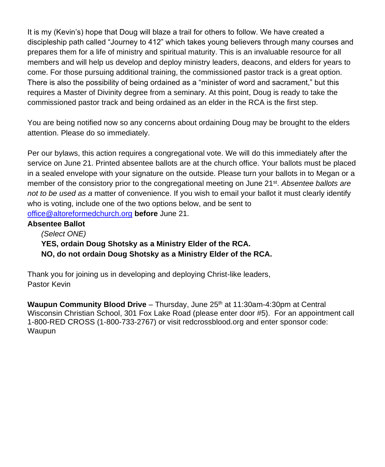It is my (Kevin's) hope that Doug will blaze a trail for others to follow. We have created a discipleship path called "Journey to 412" which takes young believers through many courses and prepares them for a life of ministry and spiritual maturity. This is an invaluable resource for all members and will help us develop and deploy ministry leaders, deacons, and elders for years to come. For those pursuing additional training, the commissioned pastor track is a great option. There is also the possibility of being ordained as a "minister of word and sacrament," but this requires a Master of Divinity degree from a seminary. At this point, Doug is ready to take the commissioned pastor track and being ordained as an elder in the RCA is the first step.

You are being notified now so any concerns about ordaining Doug may be brought to the elders attention. Please do so immediately.

Per our bylaws, this action requires a congregational vote. We will do this immediately after the service on June 21. Printed absentee ballots are at the church office. Your ballots must be placed in a sealed envelope with your signature on the outside. Please turn your ballots in to Megan or a member of the consistory prior to the congregational meeting on June 21<sup>st</sup>. Absentee ballots are *not to be used as a* matter of convenience. If you wish to email your ballot it must clearly identify who is voting, include one of the two options below, and be sent to [office@altoreformedchurch.org](mailto:office@altoreformedchurch.org) **before** June 21.

#### **Absentee Ballot**

*(Select ONE)*  **YES, ordain Doug Shotsky as a Ministry Elder of the RCA. NO, do not ordain Doug Shotsky as a Ministry Elder of the RCA.** 

Thank you for joining us in developing and deploying Christ-like leaders, Pastor Kevin

**Waupun Community Blood Drive** – Thursday, June 25<sup>th</sup> at 11:30am-4:30pm at Central Wisconsin Christian School, 301 Fox Lake Road (please enter door #5). For an appointment call 1-800-RED CROSS (1-800-733-2767) or visit redcrossblood.org and enter sponsor code: Waupun